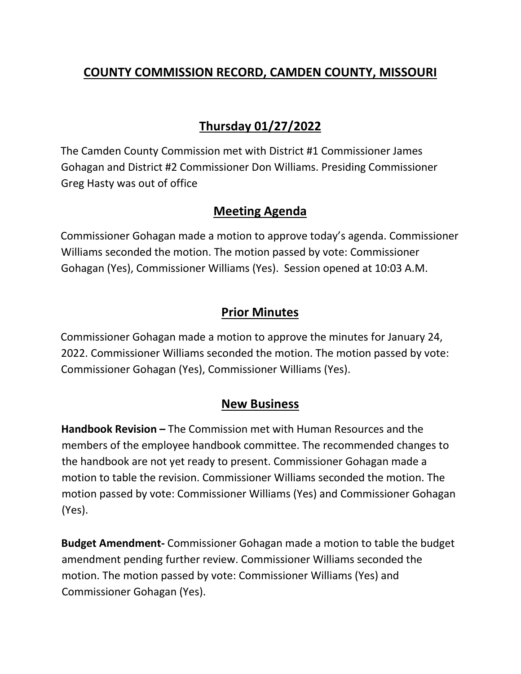## **COUNTY COMMISSION RECORD, CAMDEN COUNTY, MISSOURI**

# **Thursday 01/27/2022**

The Camden County Commission met with District #1 Commissioner James Gohagan and District #2 Commissioner Don Williams. Presiding Commissioner Greg Hasty was out of office

### **Meeting Agenda**

Commissioner Gohagan made a motion to approve today's agenda. Commissioner Williams seconded the motion. The motion passed by vote: Commissioner Gohagan (Yes), Commissioner Williams (Yes). Session opened at 10:03 A.M.

### **Prior Minutes**

Commissioner Gohagan made a motion to approve the minutes for January 24, 2022. Commissioner Williams seconded the motion. The motion passed by vote: Commissioner Gohagan (Yes), Commissioner Williams (Yes).

#### **New Business**

**Handbook Revision –** The Commission met with Human Resources and the members of the employee handbook committee. The recommended changes to the handbook are not yet ready to present. Commissioner Gohagan made a motion to table the revision. Commissioner Williams seconded the motion. The motion passed by vote: Commissioner Williams (Yes) and Commissioner Gohagan (Yes).

**Budget Amendment-** Commissioner Gohagan made a motion to table the budget amendment pending further review. Commissioner Williams seconded the motion. The motion passed by vote: Commissioner Williams (Yes) and Commissioner Gohagan (Yes).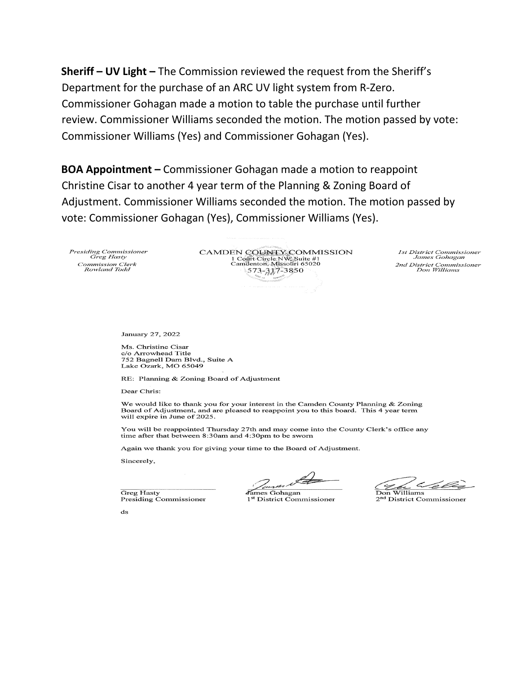Sheriff - UV Light - The Commission reviewed the request from the Sheriff's Department for the purchase of an ARC UV light system from R-Zero. Commissioner Gohagan made a motion to table the purchase until further review. Commissioner Williams seconded the motion. The motion passed by vote: Commissioner Williams (Yes) and Commissioner Gohagan (Yes).

**BOA Appointment - Commissioner Gohagan made a motion to reappoint** Christine Cisar to another 4 year term of the Planning & Zoning Board of Adjustment. Commissioner Williams seconded the motion. The motion passed by vote: Commissioner Gohagan (Yes), Commissioner Williams (Yes).

Presiding Commissioner Greg Hasty Commission Clerk<br>Rowland Todd

CAMDEN COUNTY COMMISSION 1 Cofft Circle NW Suite #1<br>Camdenton, Missouri 65020  $573 - 317 - 3850$ 

**1st District Commissioner** James Gohagan 2nd District Commissioner<br>Don Williams

January 27, 2022

Ms. Christine Cisar c/o Arrowhead Title 752 Bagnell Dam Blvd., Suite A Lake Ozark, MO 65049

RE: Planning & Zoning Board of Adjustment

Dear Chris:

We would like to thank you for your interest in the Camden County Planning & Zoning Board of Adjustment, and are pleased to reappoint you to this board. This 4 year term will expire in June of 2025.

You will be reappointed Thursday 27th and may come into the County Clerk's office any time after that between 8:30am and 4:30pm to be sworn

Again we thank you for giving your time to the Board of Adjustment.

Sincerely,

Greg Hasty

Presiding Commissioner

∛ames Gohagan <sup>1st</sup> District Commissioner

 $\leq$ Williams

2<sup>nd</sup> District Commissioner

 $ds$